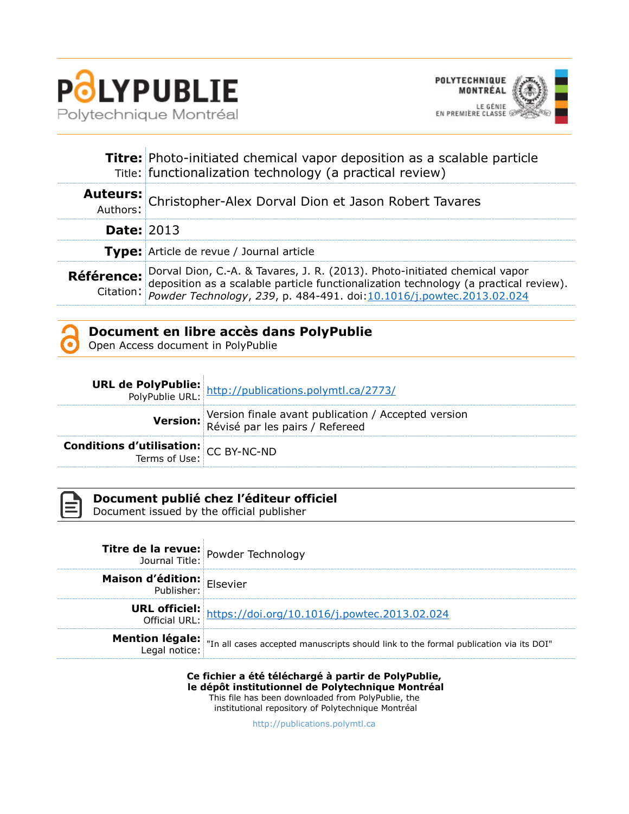



|                   | Titre: Photo-initiated chemical vapor deposition as a scalable particle<br>Title: functionalization technology (a practical review)                                                                                                       |  |  |  |
|-------------------|-------------------------------------------------------------------------------------------------------------------------------------------------------------------------------------------------------------------------------------------|--|--|--|
|                   | Auteurs: Christopher-Alex Dorval Dion et Jason Robert Tavares                                                                                                                                                                             |  |  |  |
| <b>Date: 2013</b> |                                                                                                                                                                                                                                           |  |  |  |
|                   | <b>Type:</b> Article de revue / Journal article                                                                                                                                                                                           |  |  |  |
|                   | Référence: Dorval Dion, C.-A. & Tavares, J. R. (2013). Photo-initiated chemical vapor<br>deposition as a scalable particle functionalization technology (a practical review).<br>Citation: <i>Powder Technology, 239,</i> p. 484-491. doi |  |  |  |

## **Document en libre accès dans PolyPublie**

Open Access document in PolyPublie

|                                                                           | <b>URL de PolyPublie:</b> http://publications.polymtl.ca/2773/                                  |
|---------------------------------------------------------------------------|-------------------------------------------------------------------------------------------------|
|                                                                           | Version: Version finale avant publication / Accepted version<br>Révisé par les pairs / Refereed |
| <b>Conditions d'utilisation:</b> CC BY-NC-ND<br>Terms of Use: CC BY-NC-ND |                                                                                                 |



## **Document publié chez l'éditeur officiel**

Document issued by the official publisher

| <b>Titre de la revue:</b> Powder Technology |                                                                                                                              |
|---------------------------------------------|------------------------------------------------------------------------------------------------------------------------------|
| <b>Maison d'édition:</b> Elsevier           |                                                                                                                              |
|                                             | <b>URL officiel:</b><br>Official URL: https://doi.org/10.1016/j.powtec.2013.02.024                                           |
|                                             | <b>Mention légale:</b><br>Legal notice: In all cases accepted manuscripts should link to the formal publication via its DOI" |

**Ce fichier a été téléchargé à partir de PolyPublie, le dépôt institutionnel de Polytechnique Montréal** This file has been downloaded from PolyPublie, the institutional repository of Polytechnique Montréal

[http://publications.polymtl.ca](http://publications.polymtl.ca/)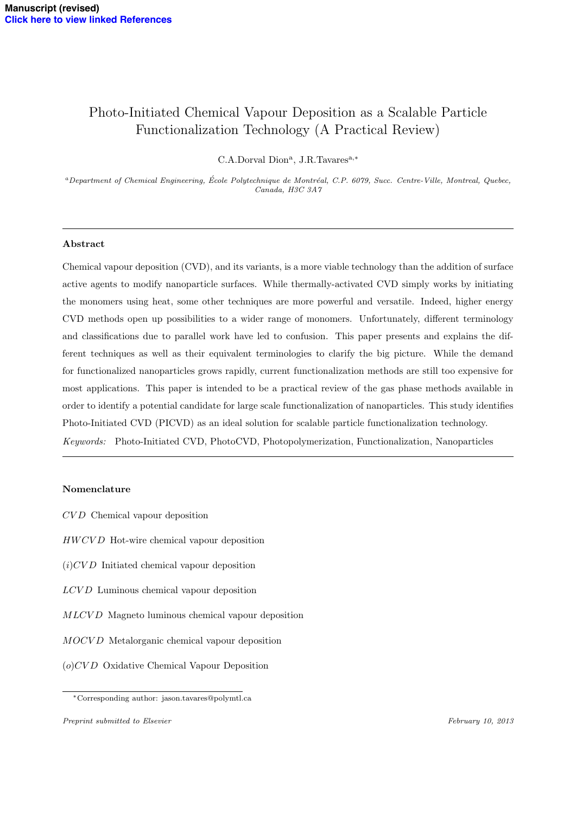# Photo-Initiated Chemical Vapour Deposition as a Scalable Particle Functionalization Technology (A Practical Review)

 $C.A.$ Dorval  $Dion<sup>a</sup>$ , J.R.Tavares<sup>a,\*</sup>

*<sup>a</sup>Department of Chemical Engineering, Ecole Polytechnique de Montr´eal, C.P. 6079, Succ. Centre-Ville, Montreal, Quebec, ´ Canada, H3C 3A7*

### Abstract

Chemical vapour deposition (CVD), and its variants, is a more viable technology than the addition of surface active agents to modify nanoparticle surfaces. While thermally-activated CVD simply works by initiating the monomers using heat, some other techniques are more powerful and versatile. Indeed, higher energy CVD methods open up possibilities to a wider range of monomers. Unfortunately, different terminology and classifications due to parallel work have led to confusion. This paper presents and explains the different techniques as well as their equivalent terminologies to clarify the big picture. While the demand for functionalized nanoparticles grows rapidly, current functionalization methods are still too expensive for most applications. This paper is intended to be a practical review of the gas phase methods available in order to identify a potential candidate for large scale functionalization of nanoparticles. This study identifies Photo-Initiated CVD (PICVD) as an ideal solution for scalable particle functionalization technology. *Keywords:* Photo-Initiated CVD, PhotoCVD, Photopolymerization, Functionalization, Nanoparticles

### Nomenclature

- *CV D* Chemical vapour deposition
- *HWCV D* Hot-wire chemical vapour deposition
- (*i*)*CV D* Initiated chemical vapour deposition
- *LCV D* Luminous chemical vapour deposition
- *MLCV D* Magneto luminous chemical vapour deposition
- *MOCV D* Metalorganic chemical vapour deposition
- (*o*)*CV D* Oxidative Chemical Vapour Deposition

<sup>⇤</sup>Corresponding author: jason.tavares@polymtl.ca

*Preprint submitted to Elsevier February 10, 2013*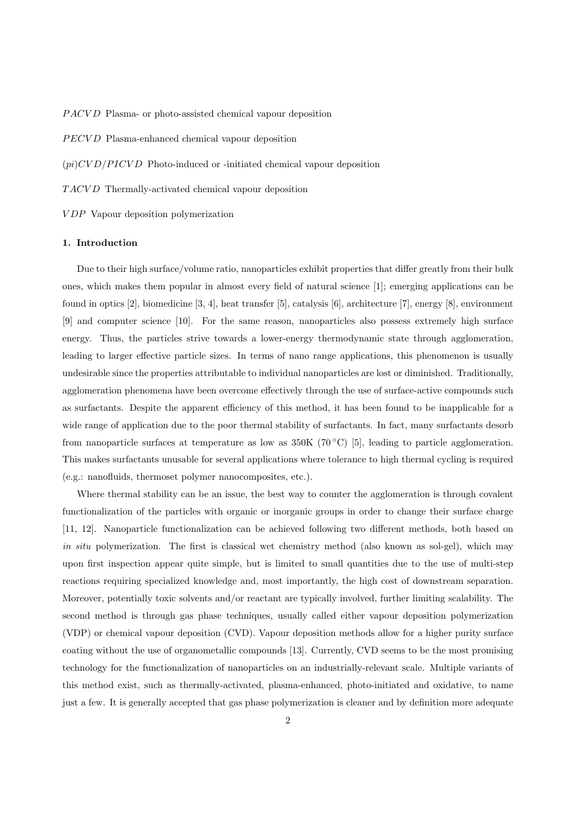*P ACV D* Plasma- or photo-assisted chemical vapour deposition

*PECV D* Plasma-enhanced chemical vapour deposition

(*pi*)*CV D/P ICV D* Photo-induced or -initiated chemical vapour deposition

*T ACV D* Thermally-activated chemical vapour deposition

*V DP* Vapour deposition polymerization

### 1. Introduction

Due to their high surface/volume ratio, nanoparticles exhibit properties that differ greatly from their bulk ones, which makes them popular in almost every field of natural science [1]; emerging applications can be found in optics [2], biomedicine [3, 4], heat transfer [5], catalysis [6], architecture [7], energy [8], environment [9] and computer science [10]. For the same reason, nanoparticles also possess extremely high surface energy. Thus, the particles strive towards a lower-energy thermodynamic state through agglomeration, leading to larger effective particle sizes. In terms of nano range applications, this phenomenon is usually undesirable since the properties attributable to individual nanoparticles are lost or diminished. Traditionally, agglomeration phenomena have been overcome effectively through the use of surface-active compounds such as surfactants. Despite the apparent efficiency of this method, it has been found to be inapplicable for a wide range of application due to the poor thermal stability of surfactants. In fact, many surfactants desorb from nanoparticle surfaces at temperature as low as  $350K (70^{\circ}C)$  [5], leading to particle agglomeration. This makes surfactants unusable for several applications where tolerance to high thermal cycling is required (e.g.: nanofluids, thermoset polymer nanocomposites, etc.).

Where thermal stability can be an issue, the best way to counter the agglomeration is through covalent functionalization of the particles with organic or inorganic groups in order to change their surface charge [11, 12]. Nanoparticle functionalization can be achieved following two different methods, both based on *in situ* polymerization. The first is classical wet chemistry method (also known as sol-gel), which may upon first inspection appear quite simple, but is limited to small quantities due to the use of multi-step reactions requiring specialized knowledge and, most importantly, the high cost of downstream separation. Moreover, potentially toxic solvents and/or reactant are typically involved, further limiting scalability. The second method is through gas phase techniques, usually called either vapour deposition polymerization (VDP) or chemical vapour deposition (CVD). Vapour deposition methods allow for a higher purity surface coating without the use of organometallic compounds [13]. Currently, CVD seems to be the most promising technology for the functionalization of nanoparticles on an industrially-relevant scale. Multiple variants of this method exist, such as thermally-activated, plasma-enhanced, photo-initiated and oxidative, to name just a few. It is generally accepted that gas phase polymerization is cleaner and by definition more adequate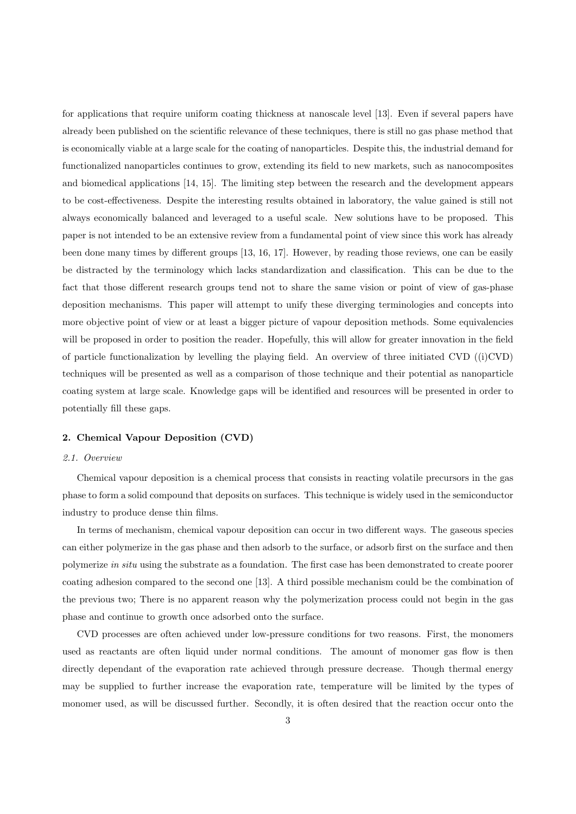for applications that require uniform coating thickness at nanoscale level [13]. Even if several papers have already been published on the scientific relevance of these techniques, there is still no gas phase method that is economically viable at a large scale for the coating of nanoparticles. Despite this, the industrial demand for functionalized nanoparticles continues to grow, extending its field to new markets, such as nanocomposites and biomedical applications [14, 15]. The limiting step between the research and the development appears to be cost-effectiveness. Despite the interesting results obtained in laboratory, the value gained is still not always economically balanced and leveraged to a useful scale. New solutions have to be proposed. This paper is not intended to be an extensive review from a fundamental point of view since this work has already been done many times by different groups [13, 16, 17]. However, by reading those reviews, one can be easily be distracted by the terminology which lacks standardization and classification. This can be due to the fact that those different research groups tend not to share the same vision or point of view of gas-phase deposition mechanisms. This paper will attempt to unify these diverging terminologies and concepts into more objective point of view or at least a bigger picture of vapour deposition methods. Some equivalencies will be proposed in order to position the reader. Hopefully, this will allow for greater innovation in the field of particle functionalization by levelling the playing field. An overview of three initiated CVD  $((i)$ CVD) techniques will be presented as well as a comparison of those technique and their potential as nanoparticle coating system at large scale. Knowledge gaps will be identified and resources will be presented in order to potentially fill these gaps.

### 2. Chemical Vapour Deposition (CVD)

#### *2.1. Overview*

Chemical vapour deposition is a chemical process that consists in reacting volatile precursors in the gas phase to form a solid compound that deposits on surfaces. This technique is widely used in the semiconductor industry to produce dense thin films.

In terms of mechanism, chemical vapour deposition can occur in two different ways. The gaseous species can either polymerize in the gas phase and then adsorb to the surface, or adsorb first on the surface and then polymerize *in situ* using the substrate as a foundation. The first case has been demonstrated to create poorer coating adhesion compared to the second one [13]. A third possible mechanism could be the combination of the previous two; There is no apparent reason why the polymerization process could not begin in the gas phase and continue to growth once adsorbed onto the surface.

CVD processes are often achieved under low-pressure conditions for two reasons. First, the monomers used as reactants are often liquid under normal conditions. The amount of monomer gas flow is then directly dependant of the evaporation rate achieved through pressure decrease. Though thermal energy may be supplied to further increase the evaporation rate, temperature will be limited by the types of monomer used, as will be discussed further. Secondly, it is often desired that the reaction occur onto the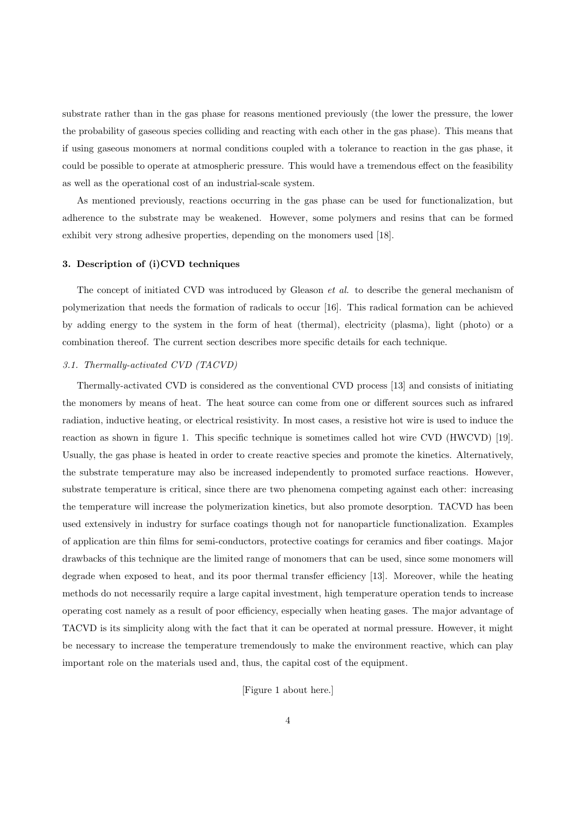substrate rather than in the gas phase for reasons mentioned previously (the lower the pressure, the lower the probability of gaseous species colliding and reacting with each other in the gas phase). This means that if using gaseous monomers at normal conditions coupled with a tolerance to reaction in the gas phase, it could be possible to operate at atmospheric pressure. This would have a tremendous effect on the feasibility as well as the operational cost of an industrial-scale system.

As mentioned previously, reactions occurring in the gas phase can be used for functionalization, but adherence to the substrate may be weakened. However, some polymers and resins that can be formed exhibit very strong adhesive properties, depending on the monomers used [18].

### 3. Description of (i)CVD techniques

The concept of initiated CVD was introduced by Gleason *et al.* to describe the general mechanism of polymerization that needs the formation of radicals to occur [16]. This radical formation can be achieved by adding energy to the system in the form of heat (thermal), electricity (plasma), light (photo) or a combination thereof. The current section describes more specific details for each technique.

### *3.1. Thermally-activated CVD (TACVD)*

Thermally-activated CVD is considered as the conventional CVD process [13] and consists of initiating the monomers by means of heat. The heat source can come from one or different sources such as infrared radiation, inductive heating, or electrical resistivity. In most cases, a resistive hot wire is used to induce the reaction as shown in figure 1. This specific technique is sometimes called hot wire CVD (HWCVD) [19]. Usually, the gas phase is heated in order to create reactive species and promote the kinetics. Alternatively, the substrate temperature may also be increased independently to promoted surface reactions. However, substrate temperature is critical, since there are two phenomena competing against each other: increasing the temperature will increase the polymerization kinetics, but also promote desorption. TACVD has been used extensively in industry for surface coatings though not for nanoparticle functionalization. Examples of application are thin films for semi-conductors, protective coatings for ceramics and fiber coatings. Major drawbacks of this technique are the limited range of monomers that can be used, since some monomers will degrade when exposed to heat, and its poor thermal transfer efficiency [13]. Moreover, while the heating methods do not necessarily require a large capital investment, high temperature operation tends to increase operating cost namely as a result of poor eciency, especially when heating gases. The major advantage of TACVD is its simplicity along with the fact that it can be operated at normal pressure. However, it might be necessary to increase the temperature tremendously to make the environment reactive, which can play important role on the materials used and, thus, the capital cost of the equipment.

[Figure 1 about here.]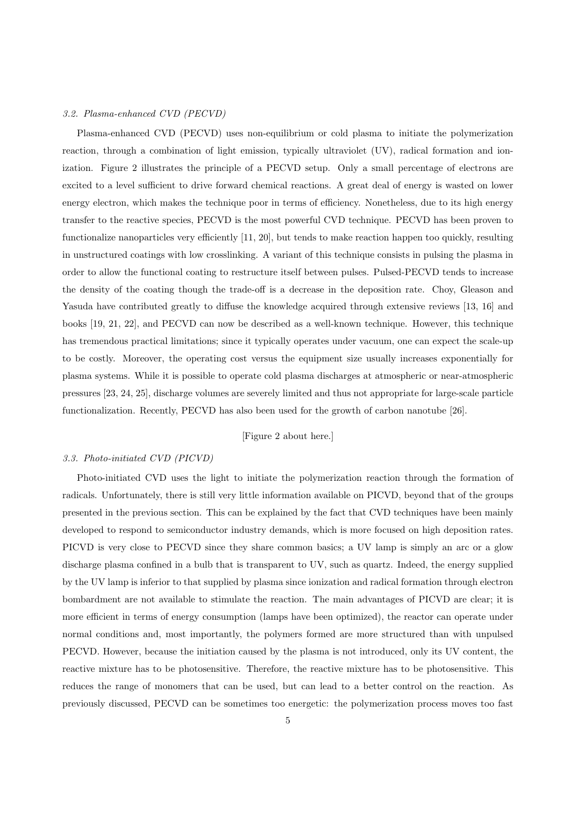### *3.2. Plasma-enhanced CVD (PECVD)*

Plasma-enhanced CVD (PECVD) uses non-equilibrium or cold plasma to initiate the polymerization reaction, through a combination of light emission, typically ultraviolet (UV), radical formation and ionization. Figure 2 illustrates the principle of a PECVD setup. Only a small percentage of electrons are excited to a level sufficient to drive forward chemical reactions. A great deal of energy is wasted on lower energy electron, which makes the technique poor in terms of efficiency. Nonetheless, due to its high energy transfer to the reactive species, PECVD is the most powerful CVD technique. PECVD has been proven to functionalize nanoparticles very efficiently [11, 20], but tends to make reaction happen too quickly, resulting in unstructured coatings with low crosslinking. A variant of this technique consists in pulsing the plasma in order to allow the functional coating to restructure itself between pulses. Pulsed-PECVD tends to increase the density of the coating though the trade-off is a decrease in the deposition rate. Choy, Gleason and Yasuda have contributed greatly to diffuse the knowledge acquired through extensive reviews [13, 16] and books [19, 21, 22], and PECVD can now be described as a well-known technique. However, this technique has tremendous practical limitations; since it typically operates under vacuum, one can expect the scale-up to be costly. Moreover, the operating cost versus the equipment size usually increases exponentially for plasma systems. While it is possible to operate cold plasma discharges at atmospheric or near-atmospheric pressures [23, 24, 25], discharge volumes are severely limited and thus not appropriate for large-scale particle functionalization. Recently, PECVD has also been used for the growth of carbon nanotube [26].

### [Figure 2 about here.]

### *3.3. Photo-initiated CVD (PICVD)*

Photo-initiated CVD uses the light to initiate the polymerization reaction through the formation of radicals. Unfortunately, there is still very little information available on PICVD, beyond that of the groups presented in the previous section. This can be explained by the fact that CVD techniques have been mainly developed to respond to semiconductor industry demands, which is more focused on high deposition rates. PICVD is very close to PECVD since they share common basics; a UV lamp is simply an arc or a glow discharge plasma confined in a bulb that is transparent to UV, such as quartz. Indeed, the energy supplied by the UV lamp is inferior to that supplied by plasma since ionization and radical formation through electron bombardment are not available to stimulate the reaction. The main advantages of PICVD are clear; it is more efficient in terms of energy consumption (lamps have been optimized), the reactor can operate under normal conditions and, most importantly, the polymers formed are more structured than with unpulsed PECVD. However, because the initiation caused by the plasma is not introduced, only its UV content, the reactive mixture has to be photosensitive. Therefore, the reactive mixture has to be photosensitive. This reduces the range of monomers that can be used, but can lead to a better control on the reaction. As previously discussed, PECVD can be sometimes too energetic: the polymerization process moves too fast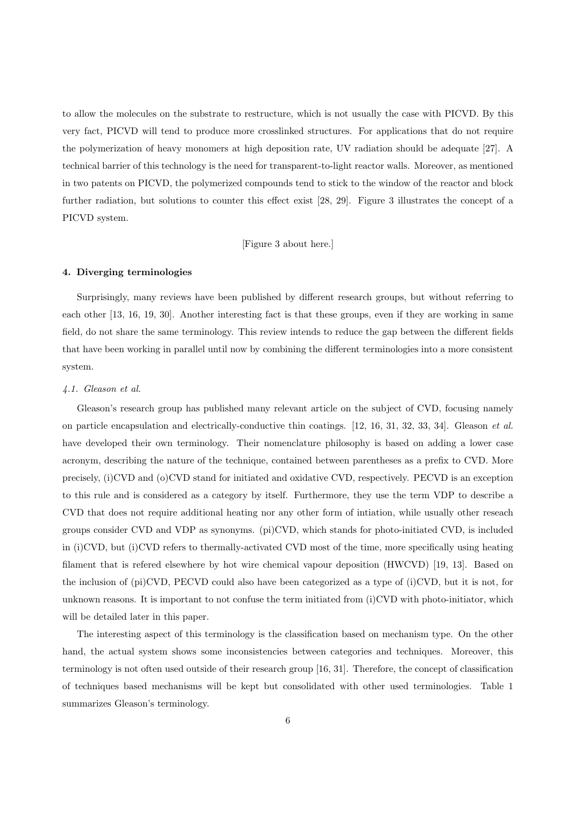to allow the molecules on the substrate to restructure, which is not usually the case with PICVD. By this very fact, PICVD will tend to produce more crosslinked structures. For applications that do not require the polymerization of heavy monomers at high deposition rate, UV radiation should be adequate [27]. A technical barrier of this technology is the need for transparent-to-light reactor walls. Moreover, as mentioned in two patents on PICVD, the polymerized compounds tend to stick to the window of the reactor and block further radiation, but solutions to counter this effect exist  $[28, 29]$ . Figure 3 illustrates the concept of a PICVD system.

[Figure 3 about here.]

### 4. Diverging terminologies

Surprisingly, many reviews have been published by different research groups, but without referring to each other [13, 16, 19, 30]. Another interesting fact is that these groups, even if they are working in same field, do not share the same terminology. This review intends to reduce the gap between the different fields that have been working in parallel until now by combining the different terminologies into a more consistent system.

#### *4.1. Gleason et al.*

Gleason's research group has published many relevant article on the subject of CVD, focusing namely on particle encapsulation and electrically-conductive thin coatings. [12, 16, 31, 32, 33, 34]. Gleason *et al.* have developed their own terminology. Their nomenclature philosophy is based on adding a lower case acronym, describing the nature of the technique, contained between parentheses as a prefix to CVD. More precisely, (i)CVD and (o)CVD stand for initiated and oxidative CVD, respectively. PECVD is an exception to this rule and is considered as a category by itself. Furthermore, they use the term VDP to describe a CVD that does not require additional heating nor any other form of intiation, while usually other reseach groups consider CVD and VDP as synonyms. (pi)CVD, which stands for photo-initiated CVD, is included in (i)CVD, but (i)CVD refers to thermally-activated CVD most of the time, more specifically using heating filament that is refered elsewhere by hot wire chemical vapour deposition (HWCVD) [19, 13]. Based on the inclusion of (pi)CVD, PECVD could also have been categorized as a type of (i)CVD, but it is not, for unknown reasons. It is important to not confuse the term initiated from (i)CVD with photo-initiator, which will be detailed later in this paper.

The interesting aspect of this terminology is the classification based on mechanism type. On the other hand, the actual system shows some inconsistencies between categories and techniques. Moreover, this terminology is not often used outside of their research group [16, 31]. Therefore, the concept of classification of techniques based mechanisms will be kept but consolidated with other used terminologies. Table 1 summarizes Gleason's terminology.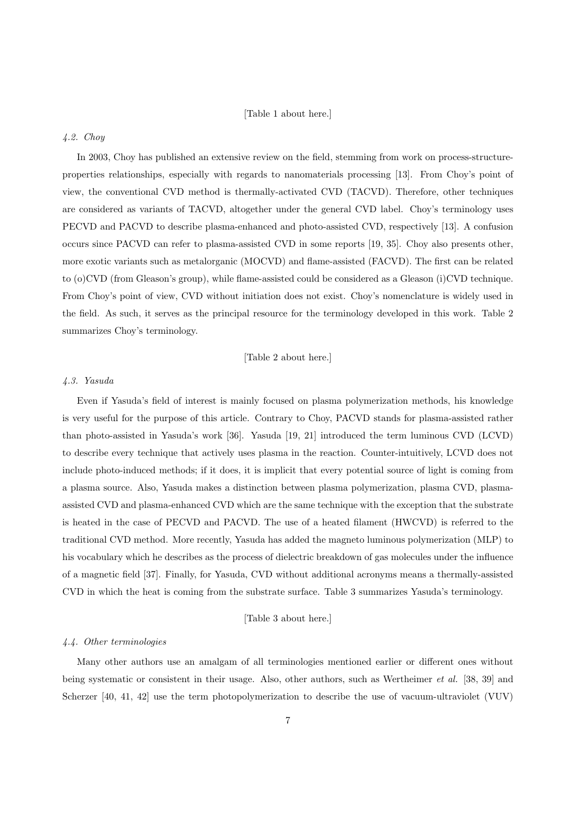### [Table 1 about here.]

### *4.2. Choy*

In 2003, Choy has published an extensive review on the field, stemming from work on process-structureproperties relationships, especially with regards to nanomaterials processing [13]. From Choy's point of view, the conventional CVD method is thermally-activated CVD (TACVD). Therefore, other techniques are considered as variants of TACVD, altogether under the general CVD label. Choy's terminology uses PECVD and PACVD to describe plasma-enhanced and photo-assisted CVD, respectively [13]. A confusion occurs since PACVD can refer to plasma-assisted CVD in some reports [19, 35]. Choy also presents other, more exotic variants such as metalorganic (MOCVD) and flame-assisted (FACVD). The first can be related to (o)CVD (from Gleason's group), while flame-assisted could be considered as a Gleason (i)CVD technique. From Choy's point of view, CVD without initiation does not exist. Choy's nomenclature is widely used in the field. As such, it serves as the principal resource for the terminology developed in this work. Table 2 summarizes Choy's terminology.

[Table 2 about here.]

### *4.3. Yasuda*

Even if Yasuda's field of interest is mainly focused on plasma polymerization methods, his knowledge is very useful for the purpose of this article. Contrary to Choy, PACVD stands for plasma-assisted rather than photo-assisted in Yasuda's work [36]. Yasuda [19, 21] introduced the term luminous CVD (LCVD) to describe every technique that actively uses plasma in the reaction. Counter-intuitively, LCVD does not include photo-induced methods; if it does, it is implicit that every potential source of light is coming from a plasma source. Also, Yasuda makes a distinction between plasma polymerization, plasma CVD, plasmaassisted CVD and plasma-enhanced CVD which are the same technique with the exception that the substrate is heated in the case of PECVD and PACVD. The use of a heated filament (HWCVD) is referred to the traditional CVD method. More recently, Yasuda has added the magneto luminous polymerization (MLP) to his vocabulary which he describes as the process of dielectric breakdown of gas molecules under the influence of a magnetic field [37]. Finally, for Yasuda, CVD without additional acronyms means a thermally-assisted CVD in which the heat is coming from the substrate surface. Table 3 summarizes Yasuda's terminology.

### [Table 3 about here.]

### *4.4. Other terminologies*

Many other authors use an amalgam of all terminologies mentioned earlier or different ones without being systematic or consistent in their usage. Also, other authors, such as Wertheimer *et al.* [38, 39] and Scherzer [40, 41, 42] use the term photopolymerization to describe the use of vacuum-ultraviolet (VUV)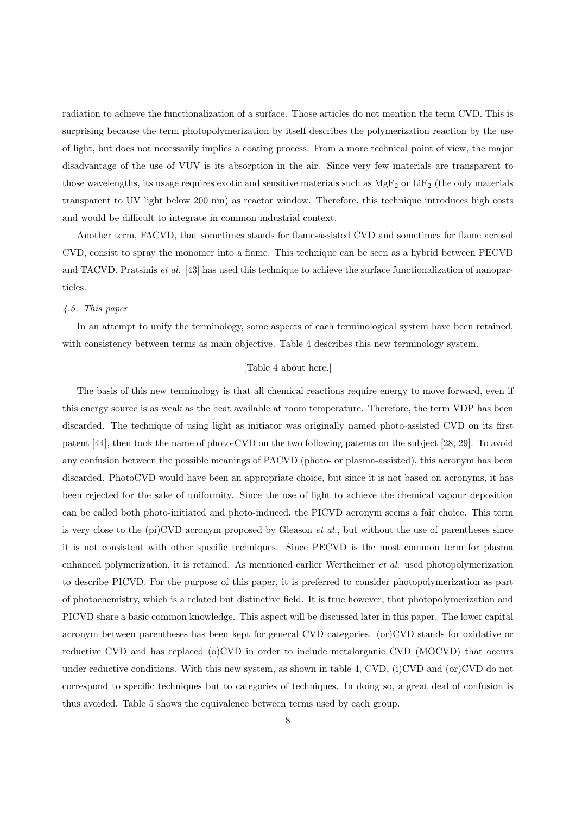radiation to achieve the functionalization of a surface. Those articles do not mention the term CVD. This is surprising because the term photopolymerization by itself describes the polymerization reaction by the use of light, but does not necessarily implies a coating process. From a more technical point of view, the major disadvantage of the use of VUV is its absorption in the air. Since very few materials are transparent to those wavelengths, its usage requires exotic and sensitive materials such as  $MgF_2$  or  $LiF_2$  (the only materials transparent to UV light below 200 nm) as reactor window. Therefore, this technique introduces high costs and would be difficult to integrate in common industrial context.

Another term, FACVD, that sometimes stands for flame-assisted CVD and sometimes for flame aerosol CVD, consist to spray the monomer into a flame. This technique can be seen as a hybrid between PECVD and TACVD. Pratsinis *et al.* [43] has used this technique to achieve the surface functionalization of nanoparticles.

### *4.5. This paper*

In an attempt to unify the terminology, some aspects of each terminological system have been retained, with consistency between terms as main objective. Table 4 describes this new terminology system.

### [Table 4 about here.]

The basis of this new terminology is that all chemical reactions require energy to move forward, even if this energy source is as weak as the heat available at room temperature. Therefore, the term VDP has been discarded. The technique of using light as initiator was originally named photo-assisted CVD on its first patent [44], then took the name of photo-CVD on the two following patents on the subject [28, 29]. To avoid any confusion between the possible meanings of PACVD (photo- or plasma-assisted), this acronym has been discarded. PhotoCVD would have been an appropriate choice, but since it is not based on acronyms, it has been rejected for the sake of uniformity. Since the use of light to achieve the chemical vapour deposition can be called both photo-initiated and photo-induced, the PICVD acronym seems a fair choice. This term is very close to the (pi)CVD acronym proposed by Gleason *et al.*, but without the use of parentheses since it is not consistent with other specific techniques. Since PECVD is the most common term for plasma enhanced polymerization, it is retained. As mentioned earlier Wertheimer *et al.* used photopolymerization to describe PICVD. For the purpose of this paper, it is preferred to consider photopolymerization as part of photochemistry, which is a related but distinctive field. It is true however, that photopolymerization and PICVD share a basic common knowledge. This aspect will be discussed later in this paper. The lower capital acronym between parentheses has been kept for general CVD categories. (or)CVD stands for oxidative or reductive CVD and has replaced (o)CVD in order to include metalorganic CVD (MOCVD) that occurs under reductive conditions. With this new system, as shown in table 4, CVD, (i)CVD and (or)CVD do not correspond to specific techniques but to categories of techniques. In doing so, a great deal of confusion is thus avoided. Table 5 shows the equivalence between terms used by each group.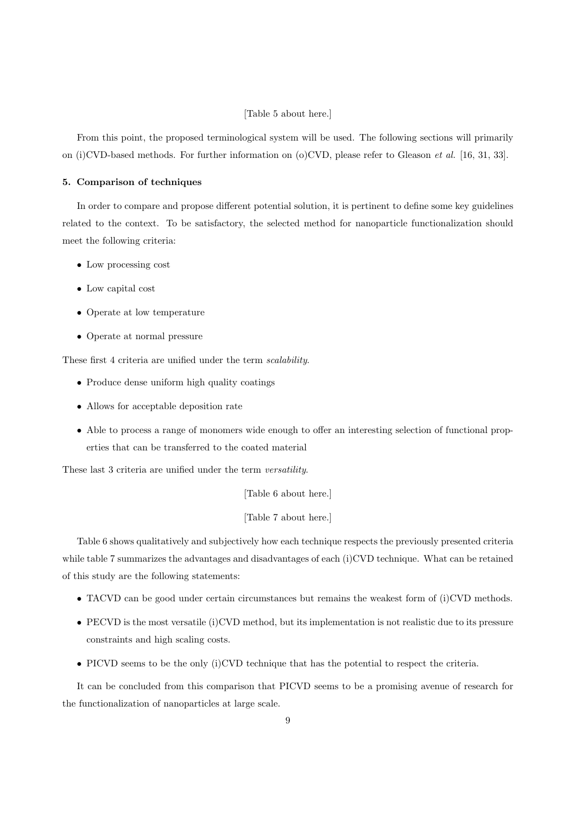### [Table 5 about here.]

From this point, the proposed terminological system will be used. The following sections will primarily on (i)CVD-based methods. For further information on (o)CVD, please refer to Gleason *et al.* [16, 31, 33].

### 5. Comparison of techniques

In order to compare and propose different potential solution, it is pertinent to define some key guidelines related to the context. To be satisfactory, the selected method for nanoparticle functionalization should meet the following criteria:

- Low processing cost
- Low capital cost
- Operate at low temperature
- Operate at normal pressure

These first 4 criteria are unified under the term *scalability*.

- Produce dense uniform high quality coatings
- Allows for acceptable deposition rate
- Able to process a range of monomers wide enough to offer an interesting selection of functional properties that can be transferred to the coated material

These last 3 criteria are unified under the term *versatility*.

[Table 6 about here.]

[Table 7 about here.]

Table 6 shows qualitatively and subjectively how each technique respects the previously presented criteria while table 7 summarizes the advantages and disadvantages of each (i)CVD technique. What can be retained of this study are the following statements:

- TACVD can be good under certain circumstances but remains the weakest form of (i)CVD methods.
- PECVD is the most versatile (i)CVD method, but its implementation is not realistic due to its pressure constraints and high scaling costs.
- PICVD seems to be the only (i)CVD technique that has the potential to respect the criteria.

It can be concluded from this comparison that PICVD seems to be a promising avenue of research for the functionalization of nanoparticles at large scale.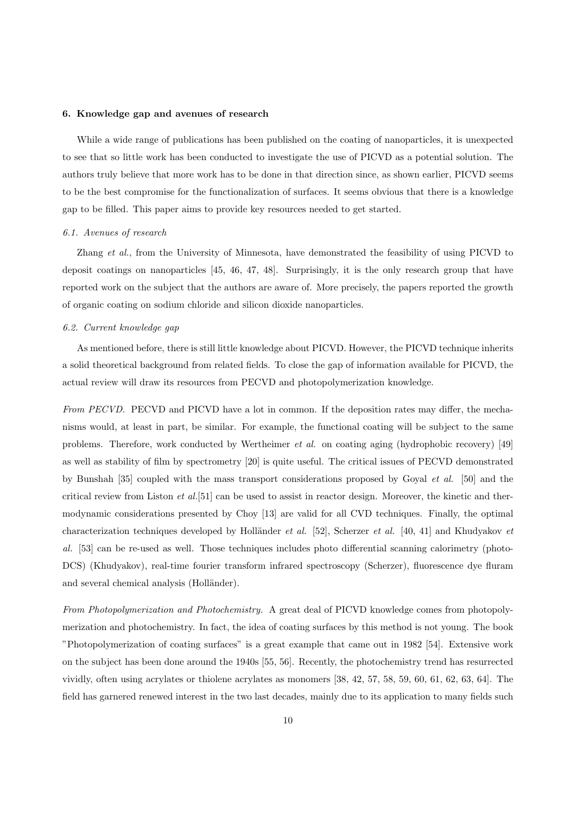### 6. Knowledge gap and avenues of research

While a wide range of publications has been published on the coating of nanoparticles, it is unexpected to see that so little work has been conducted to investigate the use of PICVD as a potential solution. The authors truly believe that more work has to be done in that direction since, as shown earlier, PICVD seems to be the best compromise for the functionalization of surfaces. It seems obvious that there is a knowledge gap to be filled. This paper aims to provide key resources needed to get started.

#### *6.1. Avenues of research*

Zhang *et al.*, from the University of Minnesota, have demonstrated the feasibility of using PICVD to deposit coatings on nanoparticles [45, 46, 47, 48]. Surprisingly, it is the only research group that have reported work on the subject that the authors are aware of. More precisely, the papers reported the growth of organic coating on sodium chloride and silicon dioxide nanoparticles.

### *6.2. Current knowledge gap*

As mentioned before, there is still little knowledge about PICVD. However, the PICVD technique inherits a solid theoretical background from related fields. To close the gap of information available for PICVD, the actual review will draw its resources from PECVD and photopolymerization knowledge.

*From PECVD.* PECVD and PICVD have a lot in common. If the deposition rates may differ, the mechanisms would, at least in part, be similar. For example, the functional coating will be subject to the same problems. Therefore, work conducted by Wertheimer *et al.* on coating aging (hydrophobic recovery) [49] as well as stability of film by spectrometry [20] is quite useful. The critical issues of PECVD demonstrated by Bunshah [35] coupled with the mass transport considerations proposed by Goyal *et al.* [50] and the critical review from Liston *et al.*[51] can be used to assist in reactor design. Moreover, the kinetic and thermodynamic considerations presented by Choy [13] are valid for all CVD techniques. Finally, the optimal characterization techniques developed by Holländer *et al.* [52], Scherzer *et al.* [40, 41] and Khudyakov *et al.* [53] can be re-used as well. Those techniques includes photo differential scanning calorimetry (photo-DCS) (Khudyakov), real-time fourier transform infrared spectroscopy (Scherzer), fluorescence dye fluram and several chemical analysis (Holländer).

*From Photopolymerization and Photochemistry.* A great deal of PICVD knowledge comes from photopolymerization and photochemistry. In fact, the idea of coating surfaces by this method is not young. The book "Photopolymerization of coating surfaces" is a great example that came out in 1982 [54]. Extensive work on the subject has been done around the 1940s [55, 56]. Recently, the photochemistry trend has resurrected vividly, often using acrylates or thiolene acrylates as monomers [38, 42, 57, 58, 59, 60, 61, 62, 63, 64]. The field has garnered renewed interest in the two last decades, mainly due to its application to many fields such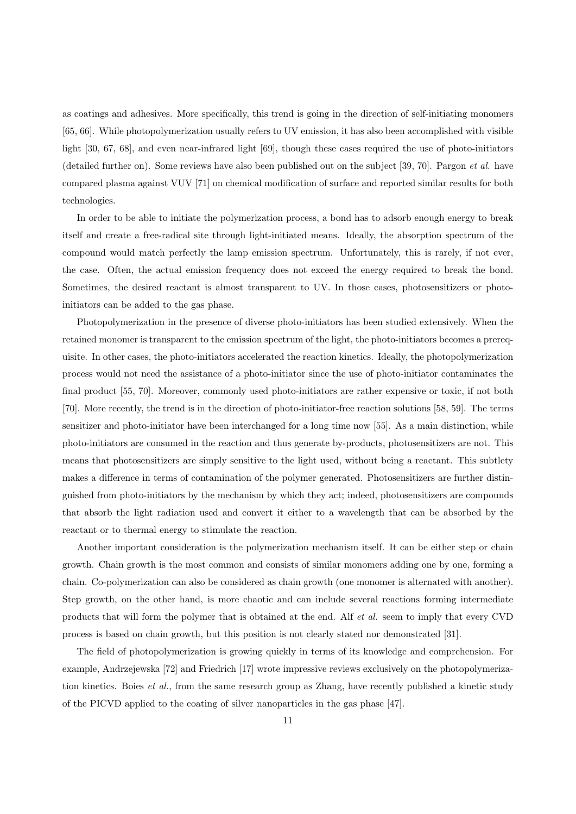as coatings and adhesives. More specifically, this trend is going in the direction of self-initiating monomers [65, 66]. While photopolymerization usually refers to UV emission, it has also been accomplished with visible light [30, 67, 68], and even near-infrared light [69], though these cases required the use of photo-initiators (detailed further on). Some reviews have also been published out on the subject [39, 70]. Pargon *et al.* have compared plasma against VUV [71] on chemical modification of surface and reported similar results for both technologies.

In order to be able to initiate the polymerization process, a bond has to adsorb enough energy to break itself and create a free-radical site through light-initiated means. Ideally, the absorption spectrum of the compound would match perfectly the lamp emission spectrum. Unfortunately, this is rarely, if not ever, the case. Often, the actual emission frequency does not exceed the energy required to break the bond. Sometimes, the desired reactant is almost transparent to UV. In those cases, photosensitizers or photoinitiators can be added to the gas phase.

Photopolymerization in the presence of diverse photo-initiators has been studied extensively. When the retained monomer is transparent to the emission spectrum of the light, the photo-initiators becomes a prerequisite. In other cases, the photo-initiators accelerated the reaction kinetics. Ideally, the photopolymerization process would not need the assistance of a photo-initiator since the use of photo-initiator contaminates the final product [55, 70]. Moreover, commonly used photo-initiators are rather expensive or toxic, if not both [70]. More recently, the trend is in the direction of photo-initiator-free reaction solutions [58, 59]. The terms sensitizer and photo-initiator have been interchanged for a long time now [55]. As a main distinction, while photo-initiators are consumed in the reaction and thus generate by-products, photosensitizers are not. This means that photosensitizers are simply sensitive to the light used, without being a reactant. This subtlety makes a difference in terms of contamination of the polymer generated. Photosensitizers are further distinguished from photo-initiators by the mechanism by which they act; indeed, photosensitizers are compounds that absorb the light radiation used and convert it either to a wavelength that can be absorbed by the reactant or to thermal energy to stimulate the reaction.

Another important consideration is the polymerization mechanism itself. It can be either step or chain growth. Chain growth is the most common and consists of similar monomers adding one by one, forming a chain. Co-polymerization can also be considered as chain growth (one monomer is alternated with another). Step growth, on the other hand, is more chaotic and can include several reactions forming intermediate products that will form the polymer that is obtained at the end. Alf *et al.* seem to imply that every CVD process is based on chain growth, but this position is not clearly stated nor demonstrated [31].

The field of photopolymerization is growing quickly in terms of its knowledge and comprehension. For example, Andrzejewska [72] and Friedrich [17] wrote impressive reviews exclusively on the photopolymerization kinetics. Boies *et al.*, from the same research group as Zhang, have recently published a kinetic study of the PICVD applied to the coating of silver nanoparticles in the gas phase [47].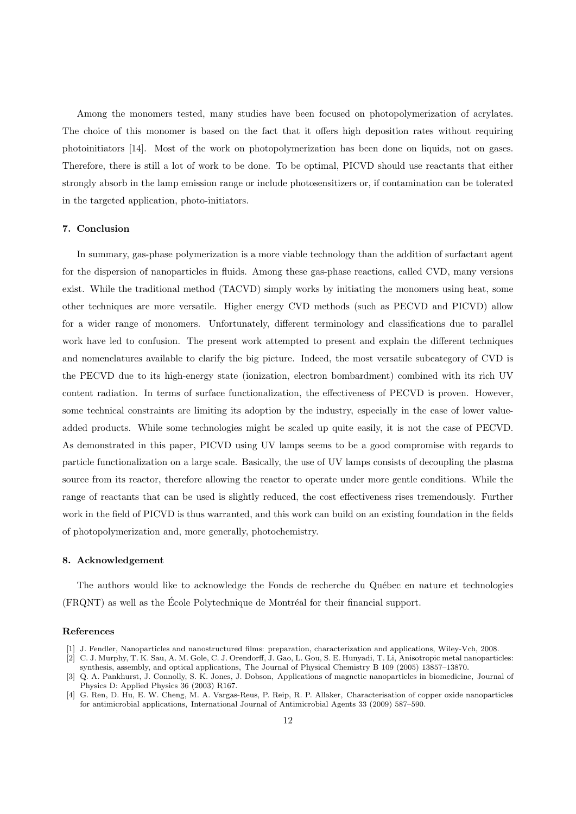Among the monomers tested, many studies have been focused on photopolymerization of acrylates. The choice of this monomer is based on the fact that it offers high deposition rates without requiring photoinitiators [14]. Most of the work on photopolymerization has been done on liquids, not on gases. Therefore, there is still a lot of work to be done. To be optimal, PICVD should use reactants that either strongly absorb in the lamp emission range or include photosensitizers or, if contamination can be tolerated in the targeted application, photo-initiators.

### 7. Conclusion

In summary, gas-phase polymerization is a more viable technology than the addition of surfactant agent for the dispersion of nanoparticles in fluids. Among these gas-phase reactions, called CVD, many versions exist. While the traditional method (TACVD) simply works by initiating the monomers using heat, some other techniques are more versatile. Higher energy CVD methods (such as PECVD and PICVD) allow for a wider range of monomers. Unfortunately, different terminology and classifications due to parallel work have led to confusion. The present work attempted to present and explain the different techniques and nomenclatures available to clarify the big picture. Indeed, the most versatile subcategory of CVD is the PECVD due to its high-energy state (ionization, electron bombardment) combined with its rich UV content radiation. In terms of surface functionalization, the effectiveness of PECVD is proven. However, some technical constraints are limiting its adoption by the industry, especially in the case of lower valueadded products. While some technologies might be scaled up quite easily, it is not the case of PECVD. As demonstrated in this paper, PICVD using UV lamps seems to be a good compromise with regards to particle functionalization on a large scale. Basically, the use of UV lamps consists of decoupling the plasma source from its reactor, therefore allowing the reactor to operate under more gentle conditions. While the range of reactants that can be used is slightly reduced, the cost effectiveness rises tremendously. Further work in the field of PICVD is thus warranted, and this work can build on an existing foundation in the fields of photopolymerization and, more generally, photochemistry.

### 8. Acknowledgement

The authors would like to acknowledge the Fonds de recherche du Québec en nature et technologies  $(FRONT)$  as well as the École Polytechnique de Montréal for their financial support.

#### References

- [1] J. Fendler, Nanoparticles and nanostructured films: preparation, characterization and applications, Wiley-Vch, 2008.
- [2] C. J. Murphy, T. K. Sau, A. M. Gole, C. J. Orendorff, J. Gao, L. Gou, S. E. Hunyadi, T. Li, Anisotropic metal nanoparticles: synthesis, assembly, and optical applications, The Journal of Physical Chemistry B 109 (2005) 13857–13870.
- [3] Q. A. Pankhurst, J. Connolly, S. K. Jones, J. Dobson, Applications of magnetic nanoparticles in biomedicine, Journal of Physics D: Applied Physics 36 (2003) R167.
- [4] G. Ren, D. Hu, E. W. Cheng, M. A. Vargas-Reus, P. Reip, R. P. Allaker, Characterisation of copper oxide nanoparticles for antimicrobial applications, International Journal of Antimicrobial Agents 33 (2009) 587–590.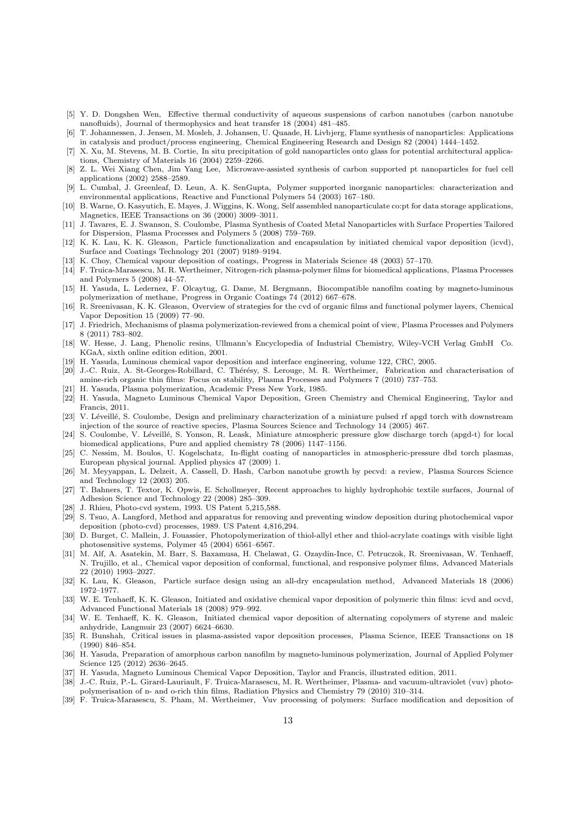- [5] Y. D. Dongshen Wen, Effective thermal conductivity of aqueous suspensions of carbon nanotubes (carbon nanotube nanofluids), Journal of thermophysics and heat transfer 18 (2004) 481–485.
- [6] T. Johannessen, J. Jensen, M. Mosleh, J. Johansen, U. Quaade, H. Livbjerg, Flame synthesis of nanoparticles: Applications in catalysis and product/process engineering, Chemical Engineering Research and Design 82 (2004) 1444–1452.
- [7] X. Xu, M. Stevens, M. B. Cortie, In situ precipitation of gold nanoparticles onto glass for potential architectural applications, Chemistry of Materials 16 (2004) 2259–2266.
- [8] Z. L. Wei Xiang Chen, Jim Yang Lee, Microwave-assisted synthesis of carbon supported pt nanoparticles for fuel cell applications (2002) 2588–2589.
- [9] L. Cumbal, J. Greenleaf, D. Leun, A. K. SenGupta, Polymer supported inorganic nanoparticles: characterization and environmental applications, Reactive and Functional Polymers 54 (2003) 167–180.
- [10] B. Warne, O. Kasyutich, E. Mayes, J. Wiggins, K. Wong, Self assembled nanoparticulate co:pt for data storage applications, Magnetics, IEEE Transactions on 36 (2000) 3009–3011.
- [11] J. Tavares, E. J. Swanson, S. Coulombe, Plasma Synthesis of Coated Metal Nanoparticles with Surface Properties Tailored for Dispersion, Plasma Processes and Polymers 5 (2008) 759–769.
- [12] K. K. Lau, K. K. Gleason, Particle functionalization and encapsulation by initiated chemical vapor deposition (icvd), Surface and Coatings Technology 201 (2007) 9189–9194.
- [13] K. Choy, Chemical vapour deposition of coatings, Progress in Materials Science 48 (2003) 57–170.
- [14] F. Truica-Marasescu, M. R. Wertheimer, Nitrogen-rich plasma-polymer films for biomedical applications, Plasma Processes and Polymers 5 (2008) 44–57.
- [15] H. Yasuda, L. Ledernez, F. Olcaytug, G. Dame, M. Bergmann, Biocompatible nanofilm coating by magneto-luminous polymerization of methane, Progress in Organic Coatings 74 (2012) 667–678.
- [16] R. Sreenivasan, K. K. Gleason, Overview of strategies for the cvd of organic films and functional polymer layers, Chemical Vapor Deposition 15 (2009) 77–90.
- [17] J. Friedrich, Mechanisms of plasma polymerization-reviewed from a chemical point of view, Plasma Processes and Polymers 8 (2011) 783–802.
- [18] W. Hesse, J. Lang, Phenolic resins, Ullmann's Encyclopedia of Industrial Chemistry, Wiley-VCH Verlag GmbH Co. KGaA, sixth online edition edition, 2001.
- [19] H. Yasuda, Luminous chemical vapor deposition and interface engineering, volume 122, CRC, 2005.
- [20] J.-C. Ruiz, A. St-Georges-Robillard, C. Thérésy, S. Lerouge, M. R. Wertheimer, Fabrication and characterisation of amine-rich organic thin films: Focus on stability, Plasma Processes and Polymers 7 (2010) 737–753.
- [21] H. Yasuda, Plasma polymerization, Academic Press New York, 1985.
- [22] H. Yasuda, Magneto Luminous Chemical Vapor Deposition, Green Chemistry and Chemical Engineering, Taylor and Francis, 2011.
- [23] V. Léveillé, S. Coulombe, Design and preliminary characterization of a miniature pulsed rf apgd torch with downstream injection of the source of reactive species, Plasma Sources Science and Technology 14 (2005) 467.
- [24] S. Coulombe, V. Léveillé, S. Yonson, R. Leask, Miniature atmospheric pressure glow discharge torch (apgd-t) for local biomedical applications, Pure and applied chemistry 78 (2006) 1147–1156.
- [25] C. Nessim, M. Boulos, U. Kogelschatz, In-flight coating of nanoparticles in atmospheric-pressure dbd torch plasmas, European physical journal. Applied physics 47 (2009) 1.
- [26] M. Meyyappan, L. Delzeit, A. Cassell, D. Hash, Carbon nanotube growth by pecvd: a review, Plasma Sources Science and Technology 12 (2003) 205.
- [27] T. Bahners, T. Textor, K. Opwis, E. Schollmeyer, Recent approaches to highly hydrophobic textile surfaces, Journal of Adhesion Science and Technology 22 (2008) 285–309.
- [28] J. Rhieu, Photo-cvd system, 1993. US Patent 5,215,588.
- [29] S. Tsuo, A. Langford, Method and apparatus for removing and preventing window deposition during photochemical vapor deposition (photo-cvd) processes, 1989. US Patent 4,816,294.
- [30] D. Burget, C. Mallein, J. Fouassier, Photopolymerization of thiol-allyl ether and thiol-acrylate coatings with visible light photosensitive systems, Polymer 45 (2004) 6561–6567.
- [31] M. Alf, A. Asatekin, M. Barr, S. Baxamusa, H. Chelawat, G. Ozaydin-Ince, C. Petruczok, R. Sreenivasan, W. Tenhaeff. N. Trujillo, et al., Chemical vapor deposition of conformal, functional, and responsive polymer films, Advanced Materials 22 (2010) 1993–2027.
- [32] K. Lau, K. Gleason, Particle surface design using an all-dry encapsulation method, Advanced Materials 18 (2006) 1972–1977.
- [33] W. E. Tenhaeff, K. K. Gleason, Initiated and oxidative chemical vapor deposition of polymeric thin films: icvd and ocvd, Advanced Functional Materials 18 (2008) 979–992.
- [34] W. E. Tenhaeff, K. K. Gleason, Initiated chemical vapor deposition of alternating copolymers of styrene and maleic anhydride, Langmuir 23 (2007) 6624–6630.
- [35] R. Bunshah, Critical issues in plasma-assisted vapor deposition processes, Plasma Science, IEEE Transactions on 18 (1990) 846–854.
- [36] H. Yasuda, Preparation of amorphous carbon nanofilm by magneto-luminous polymerization, Journal of Applied Polymer Science 125 (2012) 2636–2645.
- [37] H. Yasuda, Magneto Luminous Chemical Vapor Deposition, Taylor and Francis, illustrated edition, 2011.
- [38] J.-C. Ruiz, P.-L. Girard-Lauriault, F. Truica-Marasescu, M. R. Wertheimer, Plasma- and vacuum-ultraviolet (vuv) photopolymerisation of n- and o-rich thin films, Radiation Physics and Chemistry 79 (2010) 310–314.
- [39] F. Truica-Marasescu, S. Pham, M. Wertheimer, Vuv processing of polymers: Surface modification and deposition of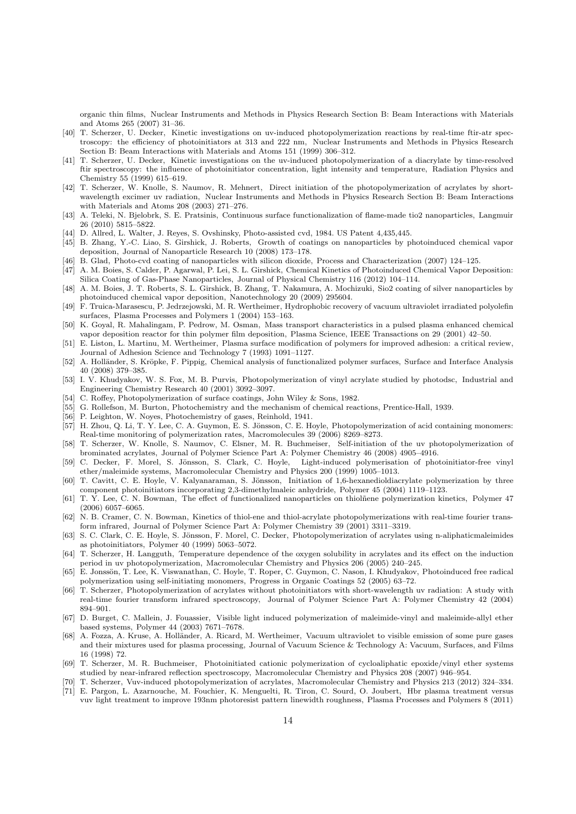organic thin films, Nuclear Instruments and Methods in Physics Research Section B: Beam Interactions with Materials and Atoms 265 (2007) 31–36.

- [40] T. Scherzer, U. Decker, Kinetic investigations on uv-induced photopolymerization reactions by real-time ftir-atr spectroscopy: the efficiency of photoinitiators at 313 and 222 nm, Nuclear Instruments and Methods in Physics Research Section B: Beam Interactions with Materials and Atoms 151 (1999) 306–312.
- [41] T. Scherzer, U. Decker, Kinetic investigations on the uv-induced photopolymerization of a diacrylate by time-resolved ftir spectroscopy: the influence of photoinitiator concentration, light intensity and temperature, Radiation Physics and Chemistry 55 (1999) 615–619.
- [42] T. Scherzer, W. Knolle, S. Naumov, R. Mehnert, Direct initiation of the photopolymerization of acrylates by shortwavelength excimer uv radiation, Nuclear Instruments and Methods in Physics Research Section B: Beam Interactions with Materials and Atoms 208 (2003) 271–276.
- [43] A. Teleki, N. Bjelobrk, S. E. Pratsinis, Continuous surface functionalization of flame-made tio2 nanoparticles, Langmuir 26 (2010) 5815–5822.
- [44] D. Allred, L. Walter, J. Reyes, S. Ovshinsky, Photo-assisted cvd, 1984. US Patent 4,435,445.
- [45] B. Zhang, Y.-C. Liao, S. Girshick, J. Roberts, Growth of coatings on nanoparticles by photoinduced chemical vapor deposition, Journal of Nanoparticle Research 10 (2008) 173–178.
- [46] B. Glad, Photo-cvd coating of nanoparticles with silicon dioxide, Process and Characterization (2007) 124–125.
- [47] A. M. Boies, S. Calder, P. Agarwal, P. Lei, S. L. Girshick, Chemical Kinetics of Photoinduced Chemical Vapor Deposition: Silica Coating of Gas-Phase Nanoparticles, Journal of Physical Chemistry 116 (2012) 104–114.
- [48] A. M. Boies, J. T. Roberts, S. L. Girshick, B. Zhang, T. Nakamura, A. Mochizuki, Sio2 coating of silver nanoparticles by photoinduced chemical vapor deposition, Nanotechnology 20 (2009) 295604.
- [49] F. Truica-Marasescu, P. Jedrzejowski, M. R. Wertheimer, Hydrophobic recovery of vacuum ultraviolet irradiated polyolefin surfaces, Plasma Processes and Polymers 1 (2004) 153–163.
- [50] K. Goyal, R. Mahalingam, P. Pedrow, M. Osman, Mass transport characteristics in a pulsed plasma enhanced chemical vapor deposition reactor for thin polymer film deposition, Plasma Science, IEEE Transactions on 29 (2001) 42–50.
- [51] E. Liston, L. Martinu, M. Wertheimer, Plasma surface modification of polymers for improved adhesion: a critical review, Journal of Adhesion Science and Technology 7 (1993) 1091–1127.
- [52] A. Holländer, S. Kröpke, F. Pippig, Chemical analysis of functionalized polymer surfaces, Surface and Interface Analysis 40 (2008) 379–385.
- [53] I. V. Khudyakov, W. S. Fox, M. B. Purvis, Photopolymerization of vinyl acrylate studied by photodsc, Industrial and Engineering Chemistry Research 40 (2001) 3092–3097.
- [54] C. Roffey, Photopolymerization of surface coatings, John Wiley & Sons, 1982.
- [55] G. Rollefson, M. Burton, Photochemistry and the mechanism of chemical reactions, Prentice-Hall, 1939.
- [56] P. Leighton, W. Noyes, Photochemistry of gases, Reinhold, 1941.
- [57] H. Zhou, Q. Li, T. Y. Lee, C. A. Guymon, E. S. Jönsson, C. E. Hoyle, Photopolymerization of acid containing monomers: Real-time monitoring of polymerization rates, Macromolecules 39 (2006) 8269–8273.
- [58] T. Scherzer, W. Knolle, S. Naumov, C. Elsner, M. R. Buchmeiser, Self-initiation of the uv photopolymerization of brominated acrylates, Journal of Polymer Science Part A: Polymer Chemistry 46 (2008) 4905–4916.
- [59] C. Decker, F. Morel, S. Jönsson, S. Clark, C. Hoyle, Light-induced polymerisation of photoinitiator-free vinyl ether/maleimide systems, Macromolecular Chemistry and Physics 200 (1999) 1005–1013.
- [60] T. Cavitt, C. E. Hoyle, V. Kalyanaraman, S. Jönsson, Initiation of 1,6-hexanedioldiacrylate polymerization by three component photoinitiators incorporating 2,3-dimethylmaleic anhydride, Polymer 45 (2004) 1119–1123.
- [61] T. Y. Lee, C. N. Bowman, The effect of functionalized nanoparticles on thiolñene polymerization kinetics, Polymer 47 (2006) 6057–6065.
- [62] N. B. Cramer, C. N. Bowman, Kinetics of thiol-ene and thiol-acrylate photopolymerizations with real-time fourier transform infrared, Journal of Polymer Science Part A: Polymer Chemistry 39 (2001) 3311–3319.
- [63] S. C. Clark, C. E. Hoyle, S. Jönsson, F. Morel, C. Decker, Photopolymerization of acrylates using n-aliphaticmaleimides as photoinitiators, Polymer 40 (1999) 5063–5072.
- [64] T. Scherzer, H. Langguth, Temperature dependence of the oxygen solubility in acrylates and its effect on the induction period in uv photopolymerization, Macromolecular Chemistry and Physics 206 (2005) 240–245.
- [65] E. Jonssön, T. Lee, K. Viswanathan, C. Hoyle, T. Roper, C. Guymon, C. Nason, I. Khudyakov, Photoinduced free radical polymerization using self-initiating monomers, Progress in Organic Coatings 52 (2005) 63–72.
- [66] T. Scherzer, Photopolymerization of acrylates without photoinitiators with short-wavelength uv radiation: A study with real-time fourier transform infrared spectroscopy, Journal of Polymer Science Part A: Polymer Chemistry 42 (2004) 894–901.
- [67] D. Burget, C. Mallein, J. Fouassier, Visible light induced polymerization of maleimide-vinyl and maleimide-allyl ether based systems, Polymer 44 (2003) 7671–7678.
- [68] A. Fozza, A. Kruse, A. Holländer, A. Ricard, M. Wertheimer, Vacuum ultraviolet to visible emission of some pure gases and their mixtures used for plasma processing, Journal of Vacuum Science & Technology A: Vacuum, Surfaces, and Films 16 (1998) 72.
- [69] T. Scherzer, M. R. Buchmeiser, Photoinitiated cationic polymerization of cycloaliphatic epoxide/vinyl ether systems studied by near-infrared reflection spectroscopy, Macromolecular Chemistry and Physics 208 (2007) 946–954.
- [70] T. Scherzer, Vuv-induced photopolymerization of acrylates, Macromolecular Chemistry and Physics 213 (2012) 324–334.
- [71] E. Pargon, L. Azarnouche, M. Fouchier, K. Menguelti, R. Tiron, C. Sourd, O. Joubert, Hbr plasma treatment versus vuv light treatment to improve 193nm photoresist pattern linewidth roughness, Plasma Processes and Polymers 8 (2011)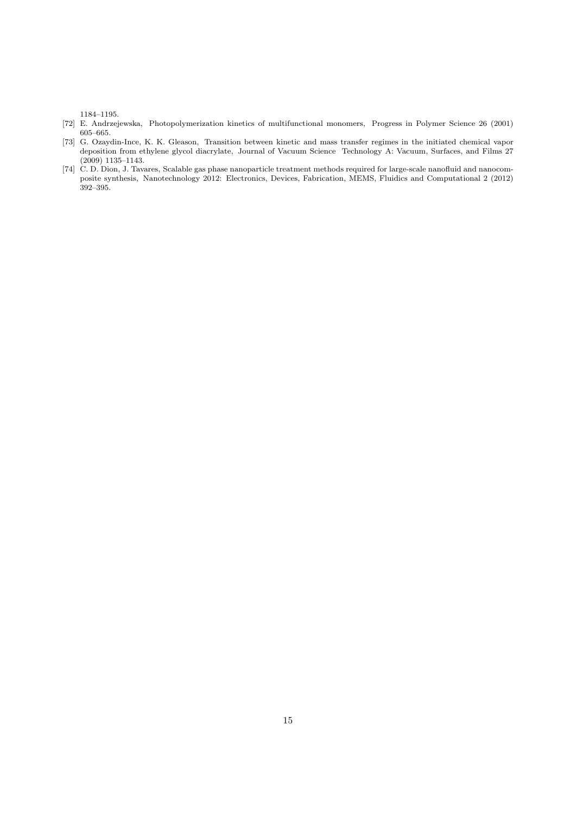1184–1195.

- [72] E. Andrzejewska, Photopolymerization kinetics of multifunctional monomers, Progress in Polymer Science 26 (2001) 605–665.
- [73] G. Ozaydin-Ince, K. K. Gleason, Transition between kinetic and mass transfer regimes in the initiated chemical vapor deposition from ethylene glycol diacrylate, Journal of Vacuum Science Technology A: Vacuum, Surfaces, and Films 27 (2009) 1135–1143.
- [74] C. D. Dion, J. Tavares, Scalable gas phase nanoparticle treatment methods required for large-scale nanofluid and nanocomposite synthesis, Nanotechnology 2012: Electronics, Devices, Fabrication, MEMS, Fluidics and Computational 2 (2012) 392–395.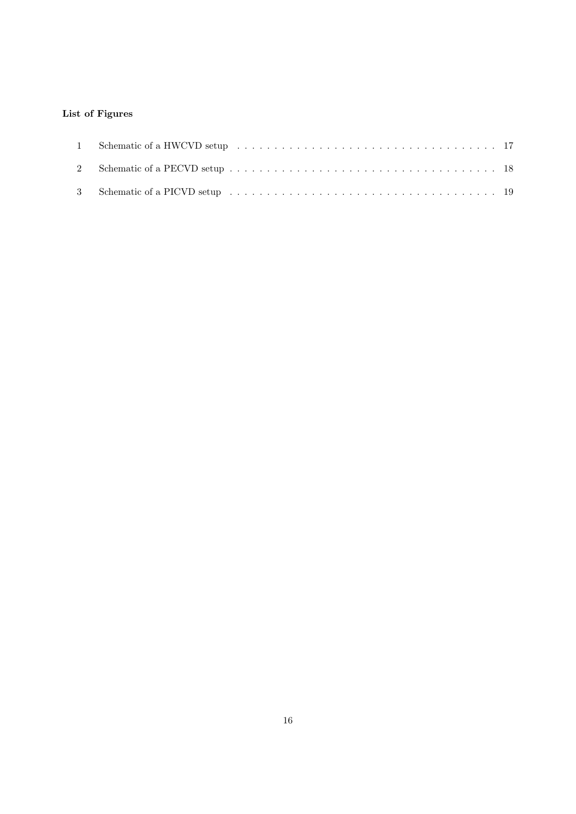## List of Figures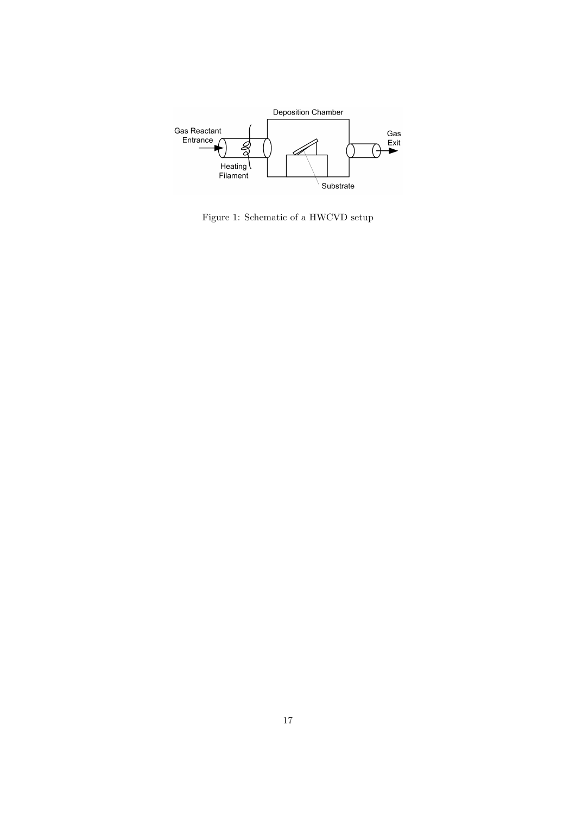

Figure 1: Schematic of a HWCVD setup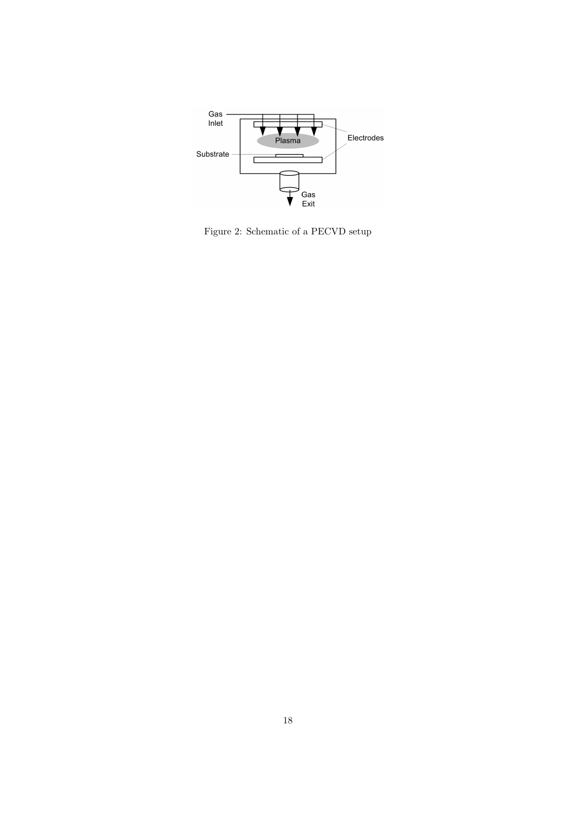

Figure 2: Schematic of a PECVD setup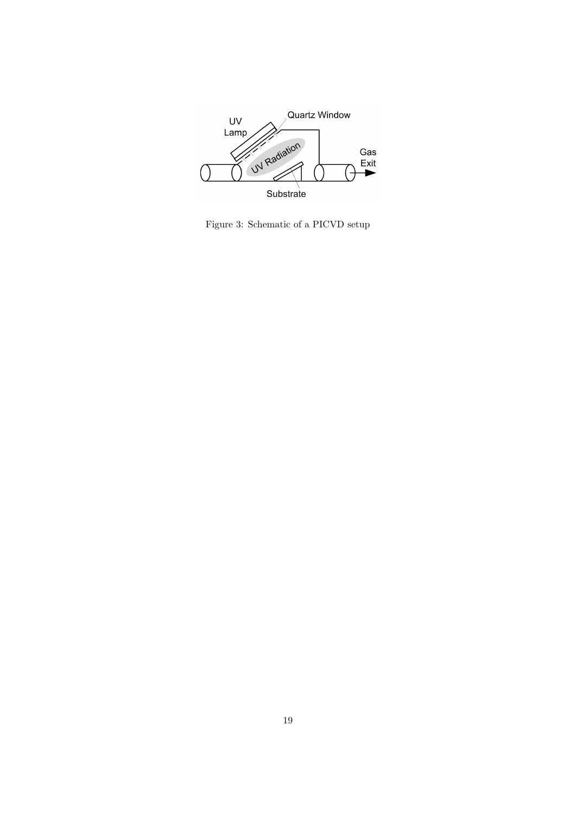

Figure 3: Schematic of a PICVD setup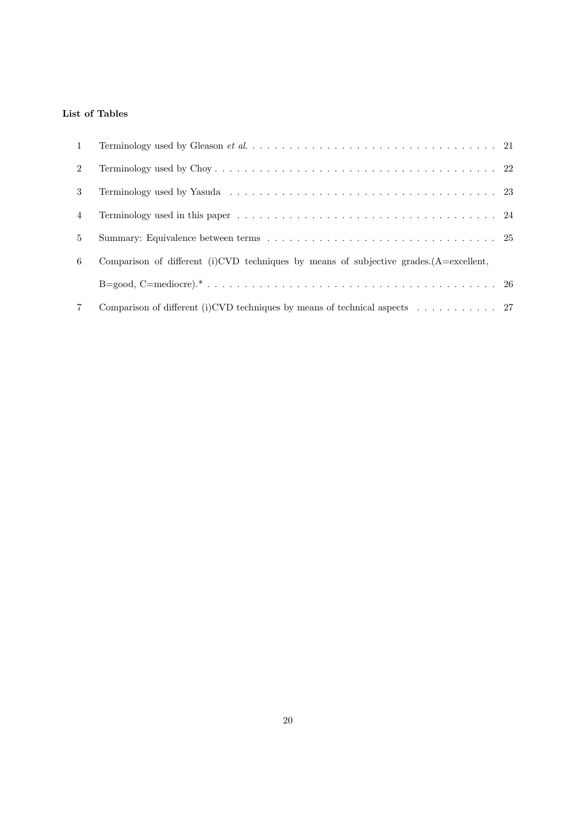## List of Tables

| $\mathbf{1}$   |                                                                                                       |  |
|----------------|-------------------------------------------------------------------------------------------------------|--|
| $\overline{2}$ |                                                                                                       |  |
| 3              |                                                                                                       |  |
| 4              |                                                                                                       |  |
| $5^{\circ}$    |                                                                                                       |  |
| 6              | Comparison of different (i) CVD techniques by means of subjective grades. $(A = \text{excellent},$    |  |
|                |                                                                                                       |  |
|                | Comparison of different (i) CVD techniques by means of technical aspects $\dots \dots \dots \dots$ 27 |  |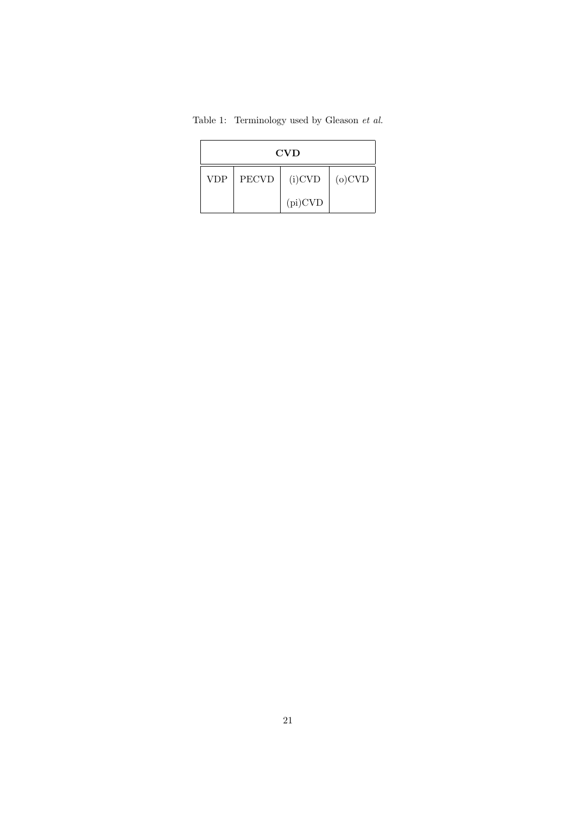| <b>CVD</b>                                           |  |           |  |  |  |
|------------------------------------------------------|--|-----------|--|--|--|
| $(i)$ CVD<br><b>PECVD</b><br>$(o)$ CVD<br><b>VDP</b> |  |           |  |  |  |
|                                                      |  | $pi)$ CVD |  |  |  |

Table 1: Terminology used by Gleason *et al.*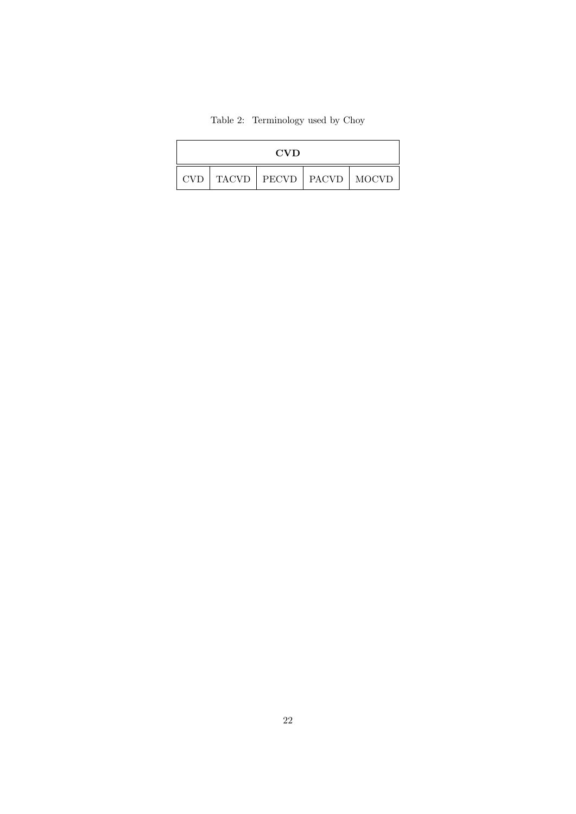# Table 2: Terminology used by Choy

| <b>CVD</b> |  |                               |  |  |
|------------|--|-------------------------------|--|--|
| CVD.       |  | TACVD   PECVD   PACVD   MOCVD |  |  |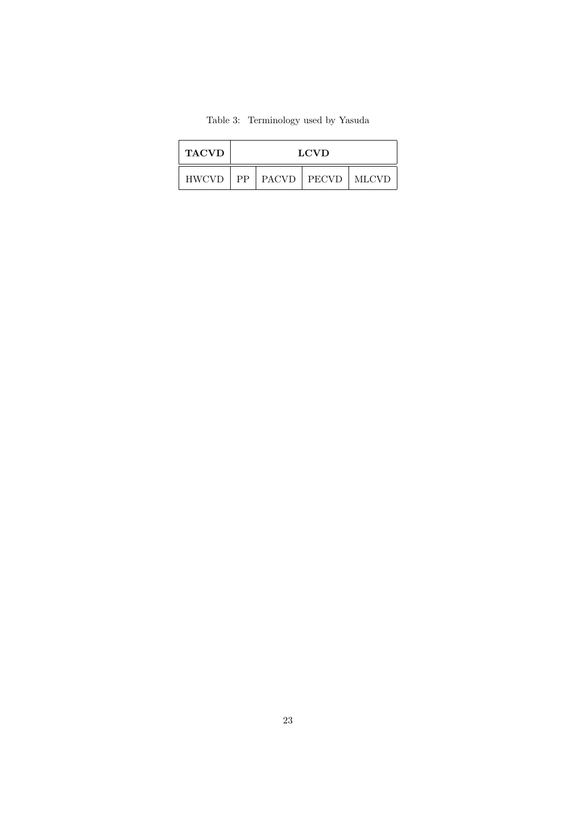| <b>TACVD</b> | <b>LCVD</b> |  |                              |  |
|--------------|-------------|--|------------------------------|--|
| <b>HWCVD</b> |             |  | $PP$   PACVD   PECVD   MLCVD |  |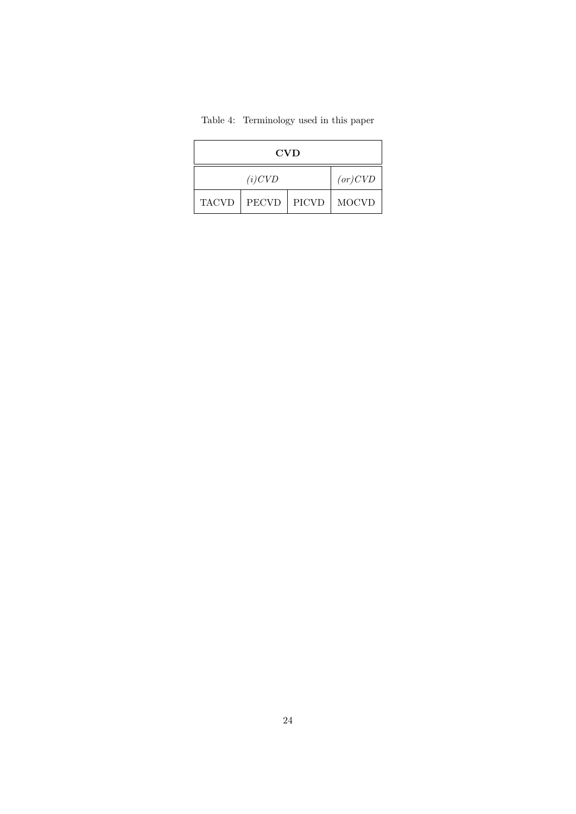|  | Table 4: Terminology used in this paper |  |  |
|--|-----------------------------------------|--|--|
|--|-----------------------------------------|--|--|

| <b>CVD</b>   |              |  |  |  |
|--------------|--------------|--|--|--|
|              | (or) CVD     |  |  |  |
| <b>TACVD</b> | <b>MOCVD</b> |  |  |  |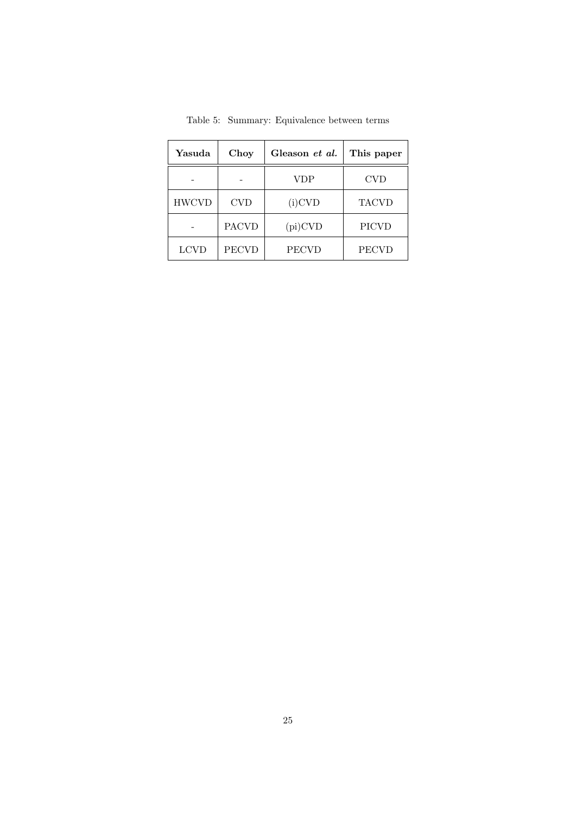| Yasuda       | Choy<br>Gleason et al. |              | This paper   |
|--------------|------------------------|--------------|--------------|
|              |                        | VDP          | <b>CVD</b>   |
| <b>HWCVD</b> | <b>CVD</b>             | $(i)$ CVD    | <b>TACVD</b> |
|              | <b>PACVD</b>           | $(pi)$ CVD   | <b>PICVD</b> |
| <b>LCVD</b>  | <b>PECVD</b>           | <b>PECVD</b> | <b>PECVD</b> |

Table 5: Summary: Equivalence between terms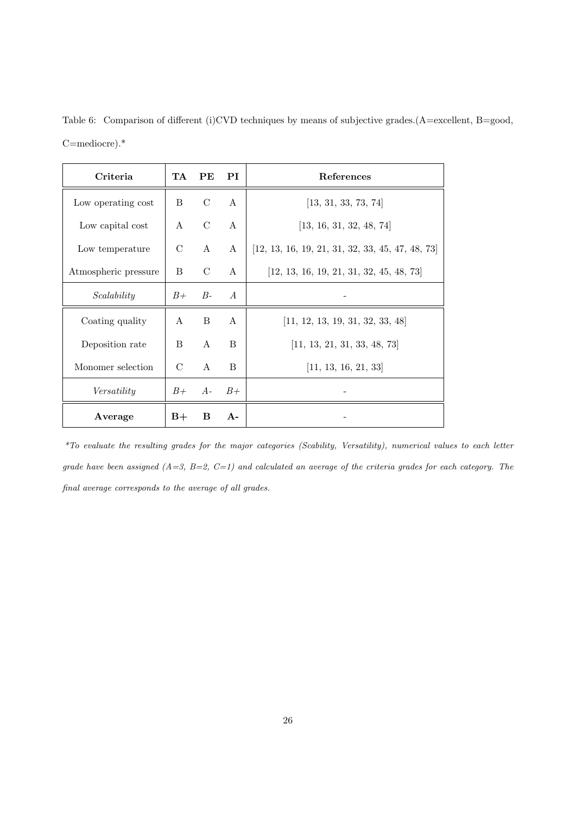Table 6: Comparison of different (i)CVD techniques by means of subjective grades.(A=excellent, B=good, C=mediocre).\*

| Criteria             | TA            | PЕ            | PI             | References                                         |  |
|----------------------|---------------|---------------|----------------|----------------------------------------------------|--|
| Low operating cost   | <sub>B</sub>  | $\mathcal{C}$ | $\mathsf{A}$   | [13, 31, 33, 73, 74]                               |  |
| Low capital cost     | $\mathsf{A}$  | $\mathcal{C}$ | $\mathsf{A}$   | [13, 16, 31, 32, 48, 74]                           |  |
| Low temperature      | $\mathcal{C}$ | $\mathbf{A}$  | A              | $[12, 13, 16, 19, 21, 31, 32, 33, 45, 47, 48, 73]$ |  |
| Atmospheric pressure | B             | $\mathcal{C}$ | A              | $[12, 13, 16, 19, 21, 31, 32, 45, 48, 73]$         |  |
| Scalability          | $B+$          | $B-$          | $\overline{A}$ |                                                    |  |
| Coating quality      | A             | <sub>B</sub>  | $\mathsf{A}$   | [11, 12, 13, 19, 31, 32, 33, 48]                   |  |
| Deposition rate      | B             | $\mathbf{A}$  | B              | [11, 13, 21, 31, 33, 48, 73]                       |  |
| Monomer selection    | $\mathcal{C}$ | $\mathbf{A}$  | B              | [11, 13, 16, 21, 33]                               |  |
| Versatility          | $B+$          | $A-$          | $B+$           |                                                    |  |
| Average              | $B+$          | B             | $A -$          |                                                    |  |

*\*To evaluate the resulting grades for the major categories (Scability, Versatility), numerical values to each letter grade have been assigned (A=3, B=2, C=1) and calculated an average of the criteria grades for each category. The final average corresponds to the average of all grades.*